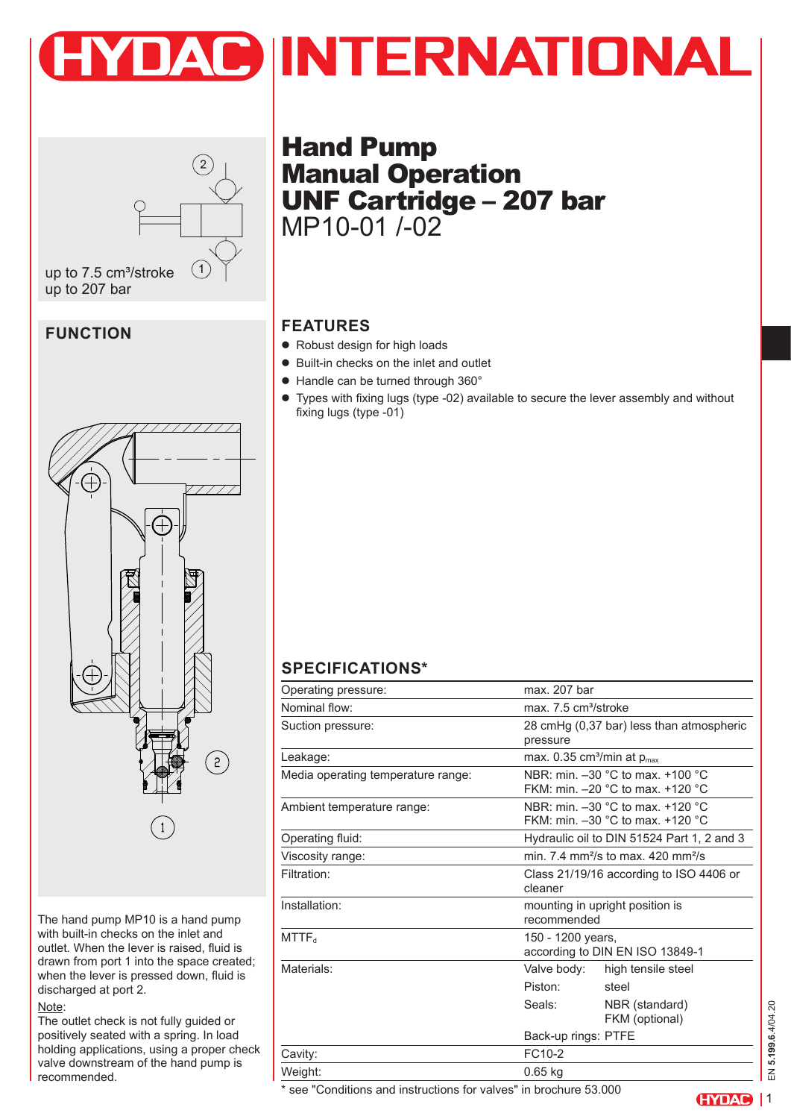



# **FUNCTION**



The hand pump MP10 is a hand pump with built-in checks on the inlet and outlet. When the lever is raised, fluid is drawn from port 1 into the space created; when the lever is pressed down, fluid is discharged at port 2.

#### Note:

The outlet check is not fully guided or positively seated with a spring. In load holding applications, using a proper check valve downstream of the hand pump is recommended.

Hand Pump Manual Operation UNF Cartridge – 207 bar MP10-01 /-02

# **FEATURES**

- Robust design for high loads
- Built-in checks on the inlet and outlet
- Handle can be turned through 360°
- Types with fixing lugs (type -02) available to secure the lever assembly and without fixing lugs (type -01)

# **SPECIFICATIONS\***

| Operating pressure:                | max. 207 bar                                                             |  |
|------------------------------------|--------------------------------------------------------------------------|--|
| Nominal flow:                      | max. 7.5 cm <sup>3</sup> /stroke                                         |  |
| Suction pressure:                  | 28 cmHg (0,37 bar) less than atmospheric<br>pressure                     |  |
| Leakage:                           | max. 0.35 cm <sup>3</sup> /min at $p_{max}$                              |  |
| Media operating temperature range: | NBR: min. -30 °C to max. +100 °C<br>FKM: min. - 20 °C to max. +120 °C    |  |
| Ambient temperature range:         | NBR: min. -30 °C to max. +120 °C<br>FKM: min. $-30$ °C to max. $+120$ °C |  |
| Operating fluid:                   | Hydraulic oil to DIN 51524 Part 1, 2 and 3                               |  |
| Viscosity range:                   | min. $7.4 \text{ mm}^2\text{/s}$ to max, $420 \text{ mm}^2\text{/s}$     |  |
| Filtration:                        | Class 21/19/16 according to ISO 4406 or<br>cleaner                       |  |
| Installation:                      | mounting in upright position is<br>recommended                           |  |
| <b>MTTF</b> <sub>d</sub>           | 150 - 1200 years,<br>according to DIN EN ISO 13849-1                     |  |
| Materials:                         | Valve body:<br>high tensile steel                                        |  |
|                                    | Piston:<br>steel                                                         |  |
|                                    | Seals:<br>NBR (standard)<br>FKM (optional)                               |  |
|                                    | Back-up rings: PTFE                                                      |  |
| Cavity:                            | FC <sub>10-2</sub>                                                       |  |
| Weight:                            | $0.65$ kg                                                                |  |

\* see "Conditions and instructions for valves" in brochure 53.000

**(HYDAC)** | 1